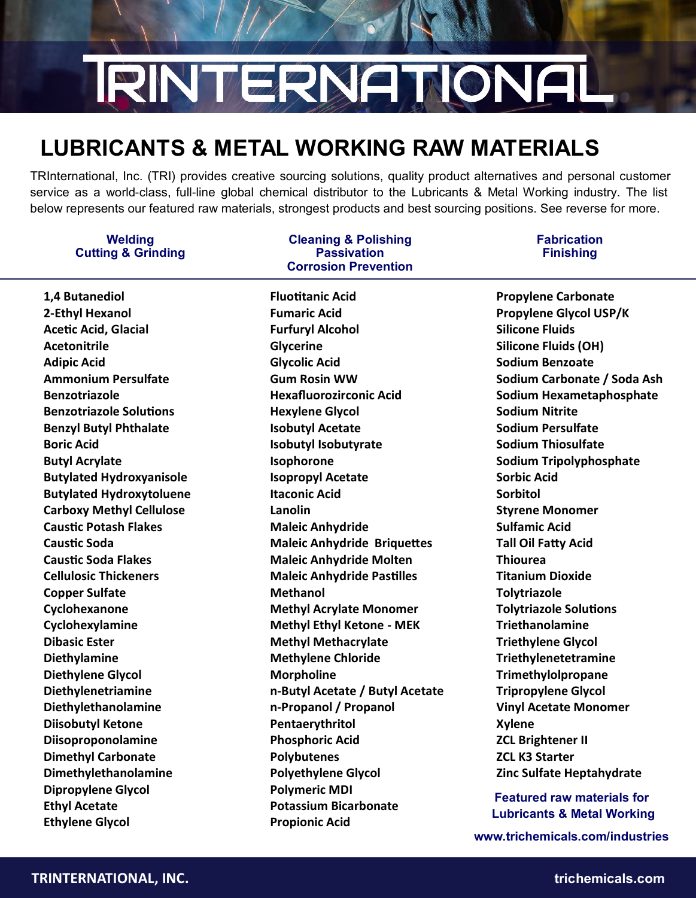# **RINT ERNATIONAL**

### **LUBRICANTS & METAL WORKING RAW MATERIALS**

TRInternational, Inc. (TRI) provides creative sourcing solutions, quality product alternatives and personal customer service as a world-class, full-line global chemical distributor to the Lubricants & Metal Working industry. The list below represents our featured raw materials, strongest products and best sourcing positions. See reverse for more.

#### **Welding Cutting & Grinding**

**1,4 Butanediol 2-Ethyl Hexanol Acetic Acid, Glacial Acetonitrile Adipic Acid Ammonium Persulfate Benzotriazole Benzotriazole Solutions Benzyl Butyl Phthalate Boric Acid Butyl Acrylate Butylated Hydroxyanisole Butylated Hydroxytoluene Carboxy Methyl Cellulose Caustic Potash Flakes Caustic Soda Caustic Soda Flakes Cellulosic Thickeners Copper Sulfate Cyclohexanone Cyclohexylamine Dibasic Ester Diethylamine Diethylene Glycol Diethylenetriamine Diethylethanolamine Diisobutyl Ketone Diisoproponolamine Dimethyl Carbonate Dimethylethanolamine Dipropylene Glycol Ethyl Acetate Ethylene Glycol** 

#### **Cleaning & Polishing Passivation Corrosion Prevention**

**Fluotitanic Acid Fumaric Acid Furfuryl Alcohol Glycerine Glycolic Acid Gum Rosin WW Hexafluorozirconic Acid Hexylene Glycol Isobutyl Acetate Isobutyl Isobutyrate Isophorone Isopropyl Acetate Itaconic Acid Lanolin Maleic Anhydride Maleic Anhydride Briquettes Maleic Anhydride Molten Maleic Anhydride Pastilles Methanol Methyl Acrylate Monomer Methyl Ethyl Ketone - MEK Methyl Methacrylate Methylene Chloride Morpholine n-Butyl Acetate / Butyl Acetate n-Propanol / Propanol Pentaerythritol Phosphoric Acid Polybutenes Polyethylene Glycol Polymeric MDI Potassium Bicarbonate Propionic Acid**

#### **Fabrication Finishing**

**Propylene Carbonate Propylene Glycol USP/K Silicone Fluids Silicone Fluids (OH) Sodium Benzoate Sodium Carbonate / Soda Ash Sodium Hexametaphosphate Sodium Nitrite Sodium Persulfate Sodium Thiosulfate Sodium Tripolyphosphate Sorbic Acid Sorbitol Styrene Monomer Sulfamic Acid Tall Oil Fatty Acid Thiourea Titanium Dioxide Tolytriazole Tolytriazole Solutions Triethanolamine Triethylene Glycol Triethylenetetramine Trimethylolpropane Tripropylene Glycol Vinyl Acetate Monomer Xylene ZCL Brightener II ZCL K3 Starter Zinc Sulfate Heptahydrate**

**Featured raw materials for Lubricants & Metal Working**

**www.trichemicals.com/industries**